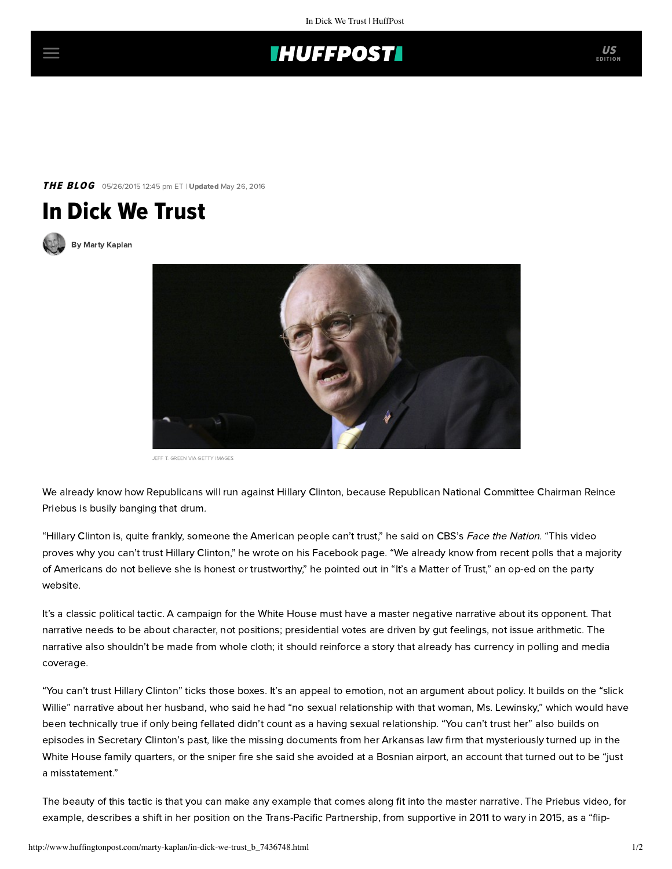In Dick We Trust | HuffPost

## **THUFFPOST**

**THE BLOG** 05/26/2015 12:45 pm ET | Updated May 26, 2016





[By Marty Kaplan](http://www.huffingtonpost.com/author/marty-kaplan)



JEFF T. GREEN VIA GETTY IMAGES

We already know how Republicans will run against Hillary Clinton, because Republican National Committee Chairman Reince Priebus is busily banging that drum.

"Hillary Clinton is, quite frankly, someone the American people can't trust," he [said](http://thehill.com/blogs/ballot-box/presidential-races/238557-rnc-chair-americans-cant-trust-clinton) on CBS's Face the Nation. "This [video](https://www.facebook.com/ReincePriebus/videos/1043091185718181/) proves why you can't trust Hillary Clinton," he wrote on his Facebook page. "We already know from recent polls that a majority of Americans do not believe she is honest or trustworthy," he pointed out in "It's a Matter of Trust," an [op-ed](https://www.gop.com/chairman-priebus-op-ed-its-a-matter-of-trust/) on the party website.

It's a classic political tactic. A campaign for the White House must have a master negative narrative about its opponent. That narrative needs to be about character, not positions; presidential votes are driven by gut feelings, not issue arithmetic. The narrative also shouldn't be made from whole cloth; it should reinforce a story that already has currency in polling and media coverage.

"You can't trust Hillary Clinton" ticks those boxes. It's an appeal to emotion, not an argument about policy. It builds on the "slick Willie" narrative about her husband, who said he had "no sexual relationship with that woman, Ms. Lewinsky," which would have been technically true if only being fellated didn't count as a having sexual relationship. "You can't trust her" also builds on episodes in Secretary Clinton's past, like the [missing documents](http://www.pbs.org/wgbh/pages/frontline/shows/clinton/etc/01301996.html) from her Arkansas law firm that mysteriously turned up in the White House family quarters, or the sniper fire she said she avoided at a Bosnian airport, an account that turned out to be "just a [misstatement.](http://www.pbs.org/wgbh/pages/frontline/shows/clinton/etc/01301996.html)"

The beauty of this tactic is that you can make any example that comes along fit into the master narrative. The Priebus video, for example, describes a shift in her position on the Trans-Pacific Partnership, from supportive in 2011 to wary in 2015, as a "flip-